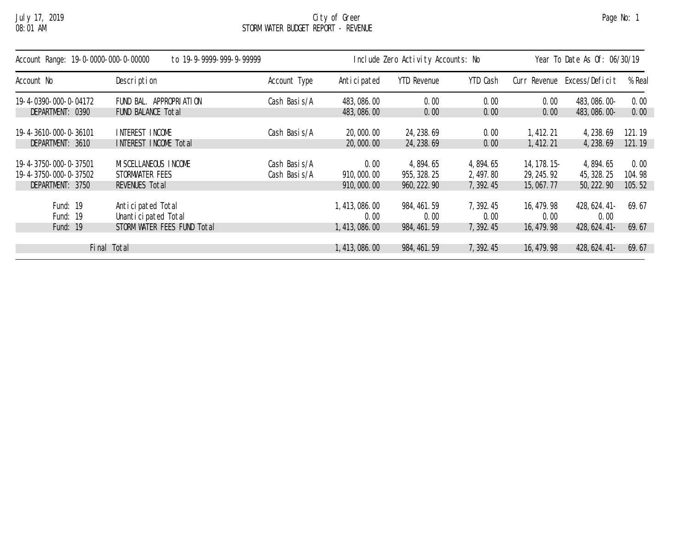## July 17, 2019 City of Greer Page No: 1 08:01 AM STORM WATER BUDGET REPORT - REVENUE

| Account Range: 19-0-0000-000-0-00000<br>to 19-9-9999-999-9-99999 |                             |              |                 | Include Zero Activity Accounts: No | Year To Date As Of: 06/30/19 |               |                |        |
|------------------------------------------------------------------|-----------------------------|--------------|-----------------|------------------------------------|------------------------------|---------------|----------------|--------|
| Account No                                                       | Description                 | Account Type | Anticipated     | <b>YTD Revenue</b>                 | YTD Cash                     | Curr Revenue  | Excess/Deficit | % Real |
| 19-4-0390-000-0-04172                                            | FUND BAL, APPROPRIATION     | Cash Basis/A | 483, 086. 00    | 0.00                               | 0.00                         | 0.00          | 483, 086. 00-  | 0.00   |
| DEPARTMENT: 0390                                                 | FUND BALANCE Total          |              | 483, 086. 00    | 0.00                               | 0.00                         | 0.00          | 483, 086. 00-  | 0.00   |
| 19-4-3610-000-0-36101                                            | INTEREST INCOME             | Cash Basis/A | 20,000.00       | 24, 238.69                         | 0.00                         | 1, 412. 21    | 4, 238.69      | 121.19 |
| DEPARTMENT: 3610                                                 | INTEREST INCOME Total       |              | 20,000.00       | 24, 238. 69                        | 0.00                         | 1, 412. 21    | 4, 238.69      | 121.19 |
| 19-4-3750-000-0-37501                                            | MI SCELLANEOUS INCOME       | Cash Basis/A | 0.00            | 4,894.65                           | 4, 894. 65                   | 14, 178. 15 - | 4, 894. 65     | 0.00   |
| 19-4-3750-000-0-37502                                            | STORMWATER FEES             | Cash Basis/A | 910,000.00      | 955, 328. 25                       | 2, 497.80                    | 29, 245. 92   | 45, 328. 25    | 104.98 |
| DEPARTMENT: 3750                                                 | REVENUES Total              |              | 910,000.00      | 960, 222. 90                       | 7, 392.45                    | 15,067.77     | 50, 222. 90    | 105.52 |
| Fund: 19                                                         | Anticipated Total           |              | 1, 413, 086. 00 | 984, 461. 59                       | 7, 392.45                    | 16, 479, 98   | 428, 624. 41-  | 69.67  |
| Fund: 19                                                         | Unanticipated Total         |              | 0.00            | 0.00                               | 0.00                         | 0.00          | 0.00           |        |
| Fund: $19$                                                       | STORM WATER FEES FUND Total |              | 1, 413, 086, 00 | 984, 461. 59                       | 7, 392.45                    | 16, 479. 98   | 428, 624. 41-  | 69.67  |
|                                                                  | Final Total                 |              | 1, 413, 086, 00 | 984, 461. 59                       | 7, 392.45                    | 16, 479. 98   | 428, 624. 41-  | 69.67  |
|                                                                  |                             |              |                 |                                    |                              |               |                |        |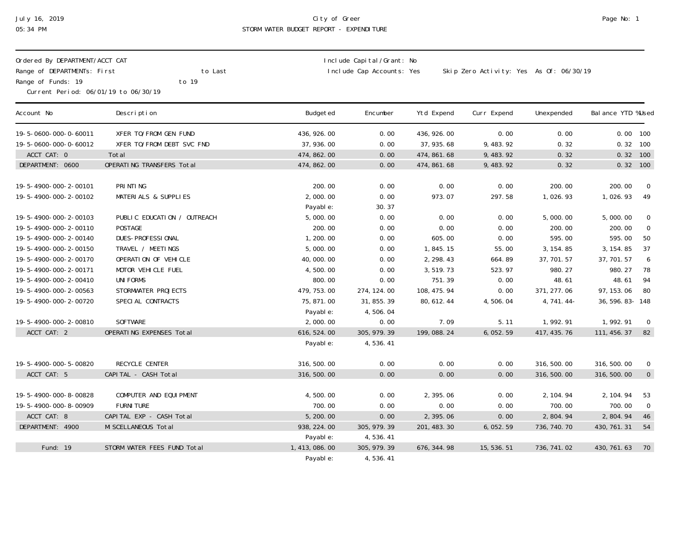## July 16, 2019 City of Greer Page No: 1 05:34 PM STORM WATER BUDGET REPORT - EXPENDITURE

| Ordered By DEPARTMENT/ACCT CAT<br>Range of DEPARTMENTs: First<br>to Last<br>Range of Funds: 19<br>to 19<br>Current Period: 06/01/19 to 06/30/19 |                             |                         | Include Capital/Grant: No<br>Include Cap Accounts: Yes<br>Skip Zero Activity: Yes As Of: 06/30/19 |              |             |              |                    |                  |  |
|-------------------------------------------------------------------------------------------------------------------------------------------------|-----------------------------|-------------------------|---------------------------------------------------------------------------------------------------|--------------|-------------|--------------|--------------------|------------------|--|
| Account No                                                                                                                                      | Description                 | Budgeted                | Encumber                                                                                          | Ytd Expend   | Curr Expend | Unexpended   | Bal ance YTD %Used |                  |  |
| 19-5-0600-000-0-60011                                                                                                                           | XFER TO/FROM GEN FUND       | 436, 926.00             | 0.00                                                                                              | 436, 926.00  | 0.00        | 0.00         | $0.00$ 100         |                  |  |
| 19-5-0600-000-0-60012                                                                                                                           | XFER TO/FROM DEBT SVC FND   | 37, 936.00              | 0.00                                                                                              | 37, 935.68   | 9, 483. 92  | 0.32         | $0.32$ 100         |                  |  |
| ACCT CAT: 0                                                                                                                                     | Total                       | 474, 862.00             | 0.00                                                                                              | 474, 861. 68 | 9, 483. 92  | 0.32         | 0.32               | 100              |  |
| DEPARTMENT: 0600                                                                                                                                | OPERATING TRANSFERS Total   | 474, 862. 00            | 0.00                                                                                              | 474, 861. 68 | 9, 483. 92  | 0.32         | 0.32               | 100              |  |
| 19-5-4900-000-2-00101                                                                                                                           | PRINTING                    | 200.00                  | 0.00                                                                                              | 0.00         | 0.00        | 200.00       | 200.00             | $\overline{0}$   |  |
| 19-5-4900-000-2-00102                                                                                                                           | MATERIALS & SUPPLIES        | 2,000.00                | 0.00                                                                                              | 973.07       | 297.58      | 1,026.93     | 1,026.93           | 49               |  |
|                                                                                                                                                 |                             | Payable:                | 30.37                                                                                             |              |             |              |                    |                  |  |
| 19-5-4900-000-2-00103                                                                                                                           | PUBLIC EDUCATION / OUTREACH | 5,000.00                | 0.00                                                                                              | 0.00         | 0.00        | 5,000.00     | 5,000.00           | $\bm{0}$         |  |
| 19-5-4900-000-2-00110                                                                                                                           | <b>POSTAGE</b>              | 200.00                  | 0.00                                                                                              | 0.00         | 0.00        | 200.00       | 200.00             | $\pmb{0}$        |  |
| 19-5-4900-000-2-00140                                                                                                                           | DUES-PROFESSIONAL           | 1,200.00                | 0.00                                                                                              | 605.00       | 0.00        | 595.00       | 595.00             | 50               |  |
| 19-5-4900-000-2-00150                                                                                                                           | TRAVEL / MEETINGS           | 5,000.00                | 0.00                                                                                              | 1,845.15     | 55.00       | 3, 154.85    | 3, 154.85          | 37               |  |
| 19-5-4900-000-2-00170                                                                                                                           | OPERATION OF VEHICLE        | 40,000.00               | 0.00                                                                                              | 2, 298.43    | 664.89      | 37, 701.57   | 37, 701.57         | $\boldsymbol{6}$ |  |
| 19-5-4900-000-2-00171                                                                                                                           | MOTOR VEHICLE FUEL          | 4,500.00                | 0.00                                                                                              | 3,519.73     | 523.97      | 980.27       | 980.27             | 78               |  |
| 19-5-4900-000-2-00410                                                                                                                           | <b>UNIFORMS</b>             | 800.00                  | 0.00                                                                                              | 751.39       | 0.00        | 48.61        | 48.61              | 94               |  |
| 19-5-4900-000-2-00563                                                                                                                           | STORMWATER PROJECTS         | 479, 753.00             | 274, 124.00                                                                                       | 108, 475. 94 | 0.00        | 371, 277.06  | 97, 153.06         | 80               |  |
|                                                                                                                                                 |                             |                         |                                                                                                   |              |             |              |                    |                  |  |
| 19-5-4900-000-2-00720                                                                                                                           | SPECIAL CONTRACTS           | 75, 871.00              | 31, 855. 39                                                                                       | 80, 612. 44  | 4,506.04    | 4, 741. 44-  | 36, 596. 83 - 148  |                  |  |
|                                                                                                                                                 |                             | Payable:                | 4,506.04                                                                                          |              |             |              |                    |                  |  |
| 19-5-4900-000-2-00810                                                                                                                           | <b>SOFTWARE</b>             | 2,000.00                | 0.00                                                                                              | 7.09         | 5.11        | 1,992.91     | 1,992.91           | $\mathbf{0}$     |  |
| ACCT CAT: 2                                                                                                                                     | OPERATING EXPENSES Total    | 616, 524.00<br>Payable: | 305, 979. 39<br>4,536.41                                                                          | 199, 088. 24 | 6,052.59    | 417, 435. 76 | 111, 456. 37       | 82               |  |
|                                                                                                                                                 |                             |                         |                                                                                                   |              |             |              |                    |                  |  |
| 19-5-4900-000-5-00820                                                                                                                           | RECYCLE CENTER              | 316, 500.00             | 0.00                                                                                              | 0.00         | 0.00        | 316, 500.00  | 316, 500.00        | $\pmb{0}$        |  |
| ACCT CAT: 5                                                                                                                                     | CAPITAL - CASH Total        | 316, 500.00             | 0.00                                                                                              | 0.00         | 0.00        | 316, 500.00  | 316, 500.00        | $\overline{0}$   |  |
| 19-5-4900-000-8-00828                                                                                                                           | COMPUTER AND EQUIPMENT      | 4,500.00                | 0.00                                                                                              | 2,395.06     | 0.00        | 2, 104. 94   | 2, 104. 94         | 53               |  |
| 19-5-4900-000-8-00909                                                                                                                           | <b>FURNI TURE</b>           | 700.00                  | 0.00                                                                                              | 0.00         | 0.00        | 700.00       | 700.00             | $\overline{0}$   |  |
| ACCT CAT: 8                                                                                                                                     | CAPITAL EXP - CASH Total    | 5, 200.00               | 0.00                                                                                              | 2,395.06     | 0.00        | 2,804.94     | 2,804.94           | 46               |  |
| DEPARTMENT: 4900                                                                                                                                | MI SCELLANEOUS Total        | 938, 224.00             | 305, 979. 39                                                                                      |              | 6,052.59    | 736, 740. 70 |                    | 54               |  |
|                                                                                                                                                 |                             |                         |                                                                                                   | 201, 483. 30 |             |              | 430, 761. 31       |                  |  |
|                                                                                                                                                 |                             | Payable:                | 4,536.41                                                                                          |              |             |              |                    |                  |  |
| Fund: 19                                                                                                                                        | STORM WATER FEES FUND Total | 1, 413, 086. 00         | 305, 979. 39                                                                                      | 676, 344. 98 | 15, 536. 51 | 736, 741.02  | 430, 761. 63       | 70               |  |
|                                                                                                                                                 |                             | Payable:                | 4,536.41                                                                                          |              |             |              |                    |                  |  |